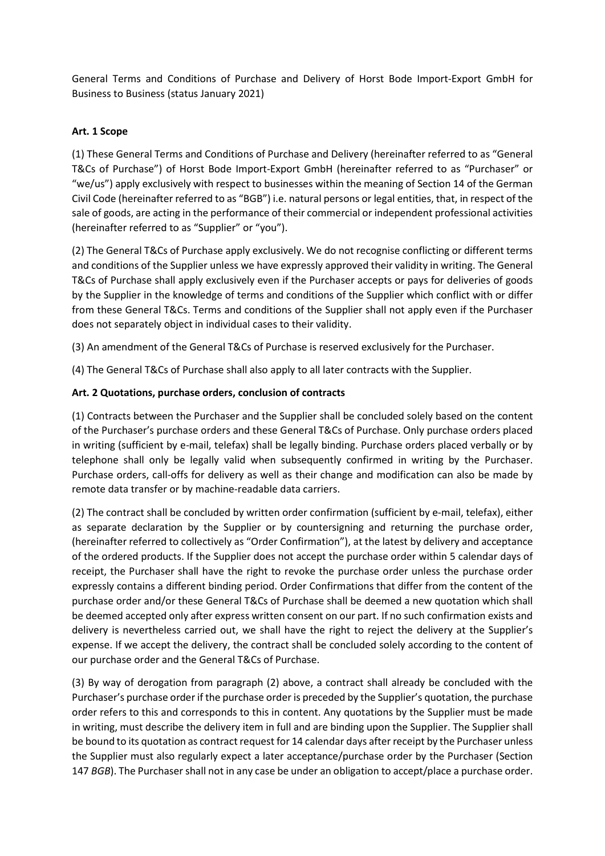General Terms and Conditions of Purchase and Delivery of Horst Bode Import-Export GmbH for Business to Business (status January 2021)

## Art. 1 Scope

(1) These General Terms and Conditions of Purchase and Delivery (hereinafter referred to as "General T&Cs of Purchase") of Horst Bode Import-Export GmbH (hereinafter referred to as "Purchaser" or "we/us") apply exclusively with respect to businesses within the meaning of Section 14 of the German Civil Code (hereinafter referred to as "BGB") i.e. natural persons or legal entities, that, in respect of the sale of goods, are acting in the performance of their commercial or independent professional activities (hereinafter referred to as "Supplier" or "you").

(2) The General T&Cs of Purchase apply exclusively. We do not recognise conflicting or different terms and conditions of the Supplier unless we have expressly approved their validity in writing. The General T&Cs of Purchase shall apply exclusively even if the Purchaser accepts or pays for deliveries of goods by the Supplier in the knowledge of terms and conditions of the Supplier which conflict with or differ from these General T&Cs. Terms and conditions of the Supplier shall not apply even if the Purchaser does not separately object in individual cases to their validity.

(3) An amendment of the General T&Cs of Purchase is reserved exclusively for the Purchaser.

(4) The General T&Cs of Purchase shall also apply to all later contracts with the Supplier.

# Art. 2 Quotations, purchase orders, conclusion of contracts

(1) Contracts between the Purchaser and the Supplier shall be concluded solely based on the content of the Purchaser's purchase orders and these General T&Cs of Purchase. Only purchase orders placed in writing (sufficient by e-mail, telefax) shall be legally binding. Purchase orders placed verbally or by telephone shall only be legally valid when subsequently confirmed in writing by the Purchaser. Purchase orders, call-offs for delivery as well as their change and modification can also be made by remote data transfer or by machine-readable data carriers.

(2) The contract shall be concluded by written order confirmation (sufficient by e-mail, telefax), either as separate declaration by the Supplier or by countersigning and returning the purchase order, (hereinafter referred to collectively as "Order Confirmation"), at the latest by delivery and acceptance of the ordered products. If the Supplier does not accept the purchase order within 5 calendar days of receipt, the Purchaser shall have the right to revoke the purchase order unless the purchase order expressly contains a different binding period. Order Confirmations that differ from the content of the purchase order and/or these General T&Cs of Purchase shall be deemed a new quotation which shall be deemed accepted only after express written consent on our part. If no such confirmation exists and delivery is nevertheless carried out, we shall have the right to reject the delivery at the Supplier's expense. If we accept the delivery, the contract shall be concluded solely according to the content of our purchase order and the General T&Cs of Purchase.

(3) By way of derogation from paragraph (2) above, a contract shall already be concluded with the Purchaser's purchase order if the purchase order is preceded by the Supplier's quotation, the purchase order refers to this and corresponds to this in content. Any quotations by the Supplier must be made in writing, must describe the delivery item in full and are binding upon the Supplier. The Supplier shall be bound to its quotation as contract request for 14 calendar days after receipt by the Purchaser unless the Supplier must also regularly expect a later acceptance/purchase order by the Purchaser (Section 147 BGB). The Purchaser shall not in any case be under an obligation to accept/place a purchase order.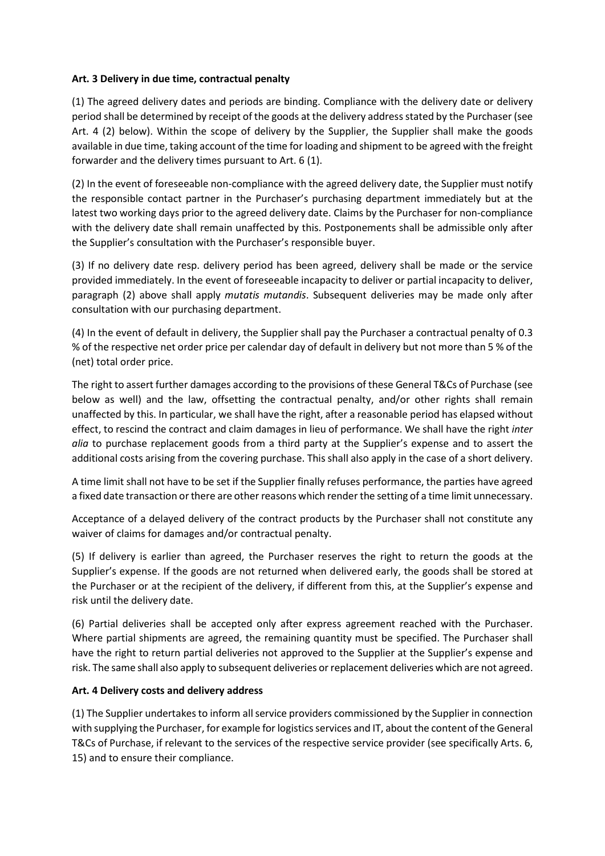### Art. 3 Delivery in due time, contractual penalty

(1) The agreed delivery dates and periods are binding. Compliance with the delivery date or delivery period shall be determined by receipt of the goods at the delivery address stated by the Purchaser (see Art. 4 (2) below). Within the scope of delivery by the Supplier, the Supplier shall make the goods available in due time, taking account of the time for loading and shipment to be agreed with the freight forwarder and the delivery times pursuant to Art. 6 (1).

(2) In the event of foreseeable non-compliance with the agreed delivery date, the Supplier must notify the responsible contact partner in the Purchaser's purchasing department immediately but at the latest two working days prior to the agreed delivery date. Claims by the Purchaser for non-compliance with the delivery date shall remain unaffected by this. Postponements shall be admissible only after the Supplier's consultation with the Purchaser's responsible buyer.

(3) If no delivery date resp. delivery period has been agreed, delivery shall be made or the service provided immediately. In the event of foreseeable incapacity to deliver or partial incapacity to deliver, paragraph (2) above shall apply mutatis mutandis. Subsequent deliveries may be made only after consultation with our purchasing department.

(4) In the event of default in delivery, the Supplier shall pay the Purchaser a contractual penalty of 0.3 % of the respective net order price per calendar day of default in delivery but not more than 5 % of the (net) total order price.

The right to assert further damages according to the provisions of these General T&Cs of Purchase (see below as well) and the law, offsetting the contractual penalty, and/or other rights shall remain unaffected by this. In particular, we shall have the right, after a reasonable period has elapsed without effect, to rescind the contract and claim damages in lieu of performance. We shall have the right inter alia to purchase replacement goods from a third party at the Supplier's expense and to assert the additional costs arising from the covering purchase. This shall also apply in the case of a short delivery.

A time limit shall not have to be set if the Supplier finally refuses performance, the parties have agreed a fixed date transaction or there are other reasons which render the setting of a time limit unnecessary.

Acceptance of a delayed delivery of the contract products by the Purchaser shall not constitute any waiver of claims for damages and/or contractual penalty.

(5) If delivery is earlier than agreed, the Purchaser reserves the right to return the goods at the Supplier's expense. If the goods are not returned when delivered early, the goods shall be stored at the Purchaser or at the recipient of the delivery, if different from this, at the Supplier's expense and risk until the delivery date.

(6) Partial deliveries shall be accepted only after express agreement reached with the Purchaser. Where partial shipments are agreed, the remaining quantity must be specified. The Purchaser shall have the right to return partial deliveries not approved to the Supplier at the Supplier's expense and risk. The same shall also apply to subsequent deliveries or replacement deliveries which are not agreed.

#### Art. 4 Delivery costs and delivery address

(1) The Supplier undertakes to inform all service providers commissioned by the Supplier in connection with supplying the Purchaser, for example for logistics services and IT, about the content of the General T&Cs of Purchase, if relevant to the services of the respective service provider (see specifically Arts. 6, 15) and to ensure their compliance.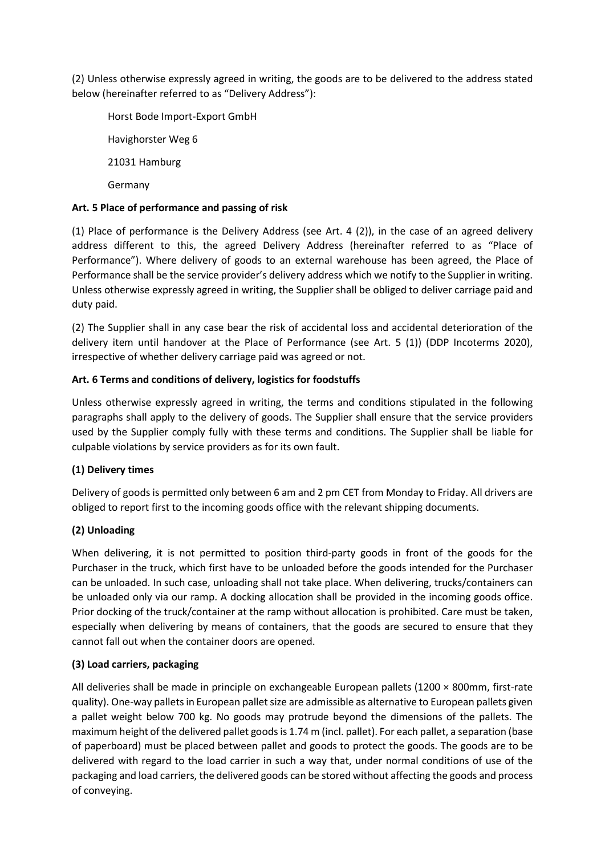(2) Unless otherwise expressly agreed in writing, the goods are to be delivered to the address stated below (hereinafter referred to as "Delivery Address"):

Horst Bode Import-Export GmbH Havighorster Weg 6 21031 Hamburg Germany

### Art. 5 Place of performance and passing of risk

(1) Place of performance is the Delivery Address (see Art. 4 (2)), in the case of an agreed delivery address different to this, the agreed Delivery Address (hereinafter referred to as "Place of Performance"). Where delivery of goods to an external warehouse has been agreed, the Place of Performance shall be the service provider's delivery address which we notify to the Supplier in writing. Unless otherwise expressly agreed in writing, the Supplier shall be obliged to deliver carriage paid and duty paid.

(2) The Supplier shall in any case bear the risk of accidental loss and accidental deterioration of the delivery item until handover at the Place of Performance (see Art. 5 (1)) (DDP Incoterms 2020), irrespective of whether delivery carriage paid was agreed or not.

## Art. 6 Terms and conditions of delivery, logistics for foodstuffs

Unless otherwise expressly agreed in writing, the terms and conditions stipulated in the following paragraphs shall apply to the delivery of goods. The Supplier shall ensure that the service providers used by the Supplier comply fully with these terms and conditions. The Supplier shall be liable for culpable violations by service providers as for its own fault.

## (1) Delivery times

Delivery of goods is permitted only between 6 am and 2 pm CET from Monday to Friday. All drivers are obliged to report first to the incoming goods office with the relevant shipping documents.

## (2) Unloading

When delivering, it is not permitted to position third-party goods in front of the goods for the Purchaser in the truck, which first have to be unloaded before the goods intended for the Purchaser can be unloaded. In such case, unloading shall not take place. When delivering, trucks/containers can be unloaded only via our ramp. A docking allocation shall be provided in the incoming goods office. Prior docking of the truck/container at the ramp without allocation is prohibited. Care must be taken, especially when delivering by means of containers, that the goods are secured to ensure that they cannot fall out when the container doors are opened.

## (3) Load carriers, packaging

All deliveries shall be made in principle on exchangeable European pallets (1200 × 800mm, first-rate quality). One-way pallets in European pallet size are admissible as alternative to European pallets given a pallet weight below 700 kg. No goods may protrude beyond the dimensions of the pallets. The maximum height of the delivered pallet goods is 1.74 m (incl. pallet). For each pallet, a separation (base of paperboard) must be placed between pallet and goods to protect the goods. The goods are to be delivered with regard to the load carrier in such a way that, under normal conditions of use of the packaging and load carriers, the delivered goods can be stored without affecting the goods and process of conveying.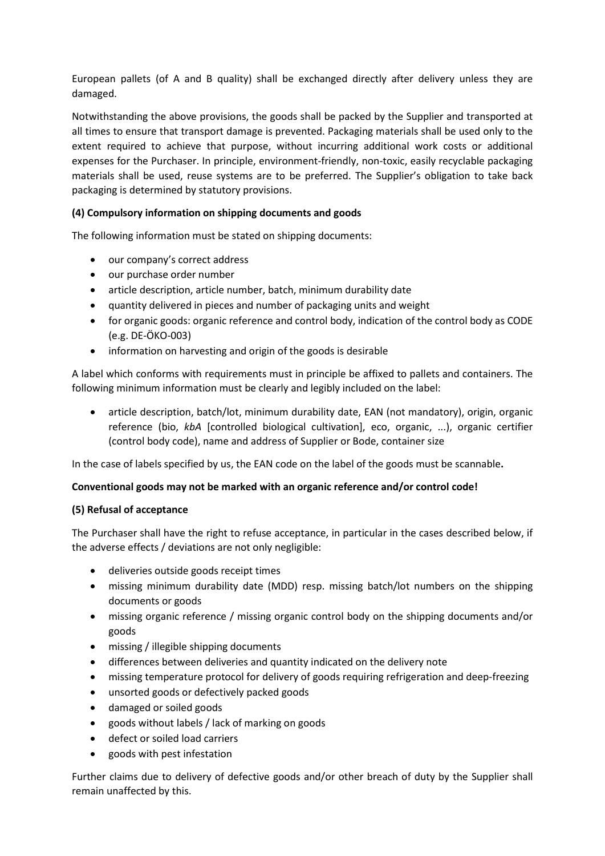European pallets (of A and B quality) shall be exchanged directly after delivery unless they are damaged.

Notwithstanding the above provisions, the goods shall be packed by the Supplier and transported at all times to ensure that transport damage is prevented. Packaging materials shall be used only to the extent required to achieve that purpose, without incurring additional work costs or additional expenses for the Purchaser. In principle, environment-friendly, non-toxic, easily recyclable packaging materials shall be used, reuse systems are to be preferred. The Supplier's obligation to take back packaging is determined by statutory provisions.

## (4) Compulsory information on shipping documents and goods

The following information must be stated on shipping documents:

- our company's correct address
- our purchase order number
- article description, article number, batch, minimum durability date
- quantity delivered in pieces and number of packaging units and weight
- for organic goods: organic reference and control body, indication of the control body as CODE (e.g. DE-ÖKO-003)
- information on harvesting and origin of the goods is desirable

A label which conforms with requirements must in principle be affixed to pallets and containers. The following minimum information must be clearly and legibly included on the label:

 article description, batch/lot, minimum durability date, EAN (not mandatory), origin, organic reference (bio, kbA [controlled biological cultivation], eco, organic, ...), organic certifier (control body code), name and address of Supplier or Bode, container size

In the case of labels specified by us, the EAN code on the label of the goods must be scannable.

## Conventional goods may not be marked with an organic reference and/or control code!

## (5) Refusal of acceptance

The Purchaser shall have the right to refuse acceptance, in particular in the cases described below, if the adverse effects / deviations are not only negligible:

- deliveries outside goods receipt times
- missing minimum durability date (MDD) resp. missing batch/lot numbers on the shipping documents or goods
- missing organic reference / missing organic control body on the shipping documents and/or goods
- missing / illegible shipping documents
- differences between deliveries and quantity indicated on the delivery note
- missing temperature protocol for delivery of goods requiring refrigeration and deep-freezing
- unsorted goods or defectively packed goods
- damaged or soiled goods
- goods without labels / lack of marking on goods
- defect or soiled load carriers
- goods with pest infestation

Further claims due to delivery of defective goods and/or other breach of duty by the Supplier shall remain unaffected by this.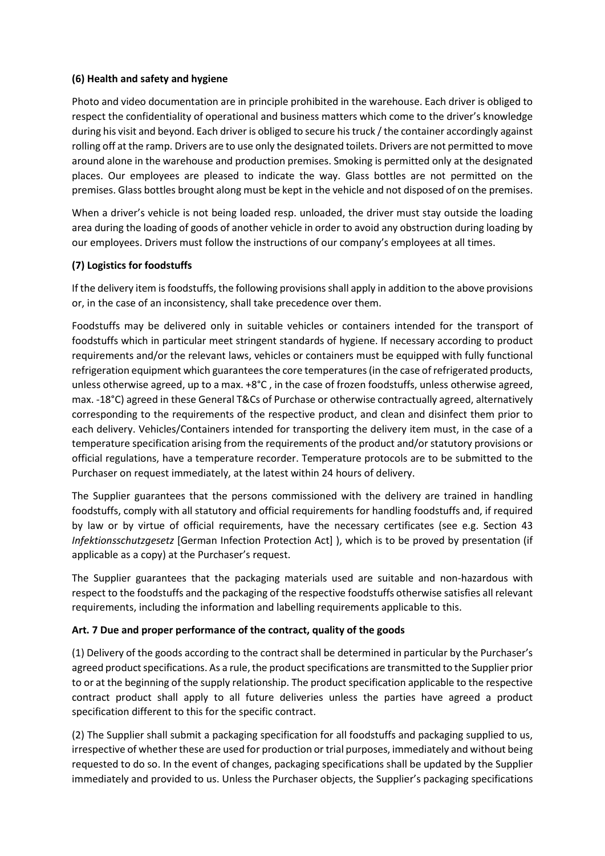## (6) Health and safety and hygiene

Photo and video documentation are in principle prohibited in the warehouse. Each driver is obliged to respect the confidentiality of operational and business matters which come to the driver's knowledge during his visit and beyond. Each driver is obliged to secure his truck / the container accordingly against rolling off at the ramp. Drivers are to use only the designated toilets. Drivers are not permitted to move around alone in the warehouse and production premises. Smoking is permitted only at the designated places. Our employees are pleased to indicate the way. Glass bottles are not permitted on the premises. Glass bottles brought along must be kept in the vehicle and not disposed of on the premises.

When a driver's vehicle is not being loaded resp. unloaded, the driver must stay outside the loading area during the loading of goods of another vehicle in order to avoid any obstruction during loading by our employees. Drivers must follow the instructions of our company's employees at all times.

### (7) Logistics for foodstuffs

If the delivery item is foodstuffs, the following provisions shall apply in addition to the above provisions or, in the case of an inconsistency, shall take precedence over them.

Foodstuffs may be delivered only in suitable vehicles or containers intended for the transport of foodstuffs which in particular meet stringent standards of hygiene. If necessary according to product requirements and/or the relevant laws, vehicles or containers must be equipped with fully functional refrigeration equipment which guarantees the core temperatures (in the case of refrigerated products, unless otherwise agreed, up to a max. +8°C , in the case of frozen foodstuffs, unless otherwise agreed, max. -18°C) agreed in these General T&Cs of Purchase or otherwise contractually agreed, alternatively corresponding to the requirements of the respective product, and clean and disinfect them prior to each delivery. Vehicles/Containers intended for transporting the delivery item must, in the case of a temperature specification arising from the requirements of the product and/or statutory provisions or official regulations, have a temperature recorder. Temperature protocols are to be submitted to the Purchaser on request immediately, at the latest within 24 hours of delivery.

The Supplier guarantees that the persons commissioned with the delivery are trained in handling foodstuffs, comply with all statutory and official requirements for handling foodstuffs and, if required by law or by virtue of official requirements, have the necessary certificates (see e.g. Section 43 Infektionsschutzgesetz [German Infection Protection Act] ), which is to be proved by presentation (if applicable as a copy) at the Purchaser's request.

The Supplier guarantees that the packaging materials used are suitable and non-hazardous with respect to the foodstuffs and the packaging of the respective foodstuffs otherwise satisfies all relevant requirements, including the information and labelling requirements applicable to this.

#### Art. 7 Due and proper performance of the contract, quality of the goods

(1) Delivery of the goods according to the contract shall be determined in particular by the Purchaser's agreed product specifications. As a rule, the product specifications are transmitted to the Supplier prior to or at the beginning of the supply relationship. The product specification applicable to the respective contract product shall apply to all future deliveries unless the parties have agreed a product specification different to this for the specific contract.

(2) The Supplier shall submit a packaging specification for all foodstuffs and packaging supplied to us, irrespective of whether these are used for production or trial purposes, immediately and without being requested to do so. In the event of changes, packaging specifications shall be updated by the Supplier immediately and provided to us. Unless the Purchaser objects, the Supplier's packaging specifications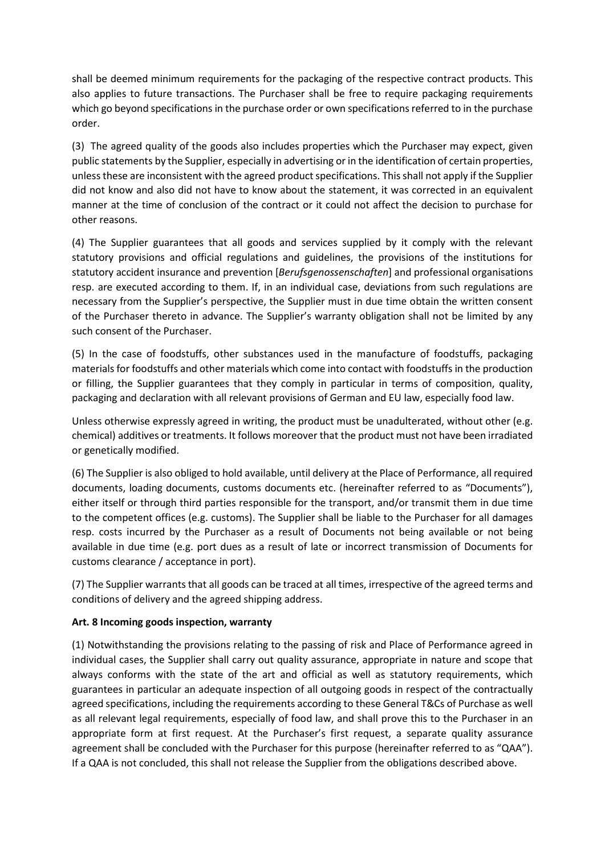shall be deemed minimum requirements for the packaging of the respective contract products. This also applies to future transactions. The Purchaser shall be free to require packaging requirements which go beyond specifications in the purchase order or own specifications referred to in the purchase order.

(3) The agreed quality of the goods also includes properties which the Purchaser may expect, given public statements by the Supplier, especially in advertising or in the identification of certain properties, unless these are inconsistent with the agreed product specifications. This shall not apply if the Supplier did not know and also did not have to know about the statement, it was corrected in an equivalent manner at the time of conclusion of the contract or it could not affect the decision to purchase for other reasons.

(4) The Supplier guarantees that all goods and services supplied by it comply with the relevant statutory provisions and official regulations and guidelines, the provisions of the institutions for statutory accident insurance and prevention [Berufsgenossenschaften] and professional organisations resp. are executed according to them. If, in an individual case, deviations from such regulations are necessary from the Supplier's perspective, the Supplier must in due time obtain the written consent of the Purchaser thereto in advance. The Supplier's warranty obligation shall not be limited by any such consent of the Purchaser.

(5) In the case of foodstuffs, other substances used in the manufacture of foodstuffs, packaging materials for foodstuffs and other materials which come into contact with foodstuffs in the production or filling, the Supplier guarantees that they comply in particular in terms of composition, quality, packaging and declaration with all relevant provisions of German and EU law, especially food law.

Unless otherwise expressly agreed in writing, the product must be unadulterated, without other (e.g. chemical) additives or treatments. It follows moreover that the product must not have been irradiated or genetically modified.

(6) The Supplier is also obliged to hold available, until delivery at the Place of Performance, all required documents, loading documents, customs documents etc. (hereinafter referred to as "Documents"), either itself or through third parties responsible for the transport, and/or transmit them in due time to the competent offices (e.g. customs). The Supplier shall be liable to the Purchaser for all damages resp. costs incurred by the Purchaser as a result of Documents not being available or not being available in due time (e.g. port dues as a result of late or incorrect transmission of Documents for customs clearance / acceptance in port).

(7) The Supplier warrants that all goods can be traced at all times, irrespective of the agreed terms and conditions of delivery and the agreed shipping address.

## Art. 8 Incoming goods inspection, warranty

(1) Notwithstanding the provisions relating to the passing of risk and Place of Performance agreed in individual cases, the Supplier shall carry out quality assurance, appropriate in nature and scope that always conforms with the state of the art and official as well as statutory requirements, which guarantees in particular an adequate inspection of all outgoing goods in respect of the contractually agreed specifications, including the requirements according to these General T&Cs of Purchase as well as all relevant legal requirements, especially of food law, and shall prove this to the Purchaser in an appropriate form at first request. At the Purchaser's first request, a separate quality assurance agreement shall be concluded with the Purchaser for this purpose (hereinafter referred to as "QAA"). If a QAA is not concluded, this shall not release the Supplier from the obligations described above.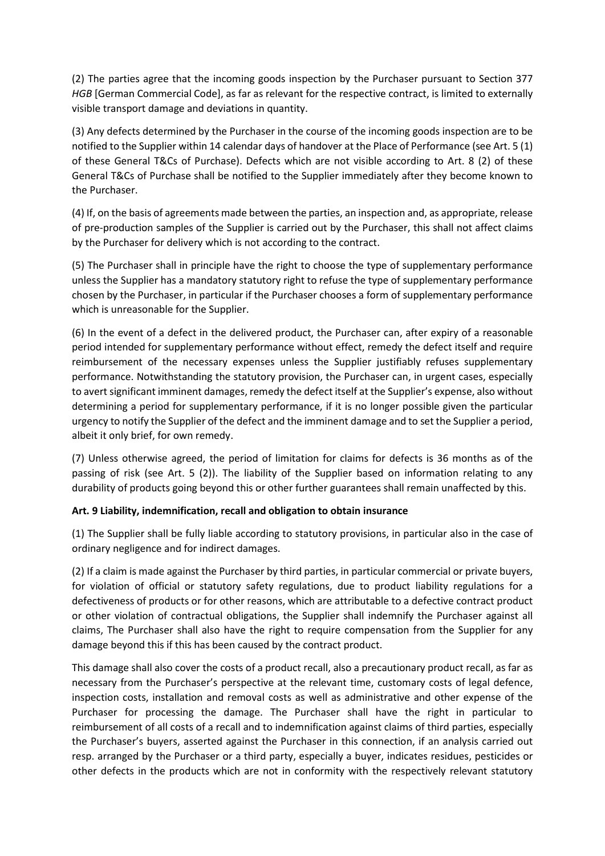(2) The parties agree that the incoming goods inspection by the Purchaser pursuant to Section 377 HGB [German Commercial Code], as far as relevant for the respective contract, is limited to externally visible transport damage and deviations in quantity.

(3) Any defects determined by the Purchaser in the course of the incoming goods inspection are to be notified to the Supplier within 14 calendar days of handover at the Place of Performance (see Art. 5 (1) of these General T&Cs of Purchase). Defects which are not visible according to Art. 8 (2) of these General T&Cs of Purchase shall be notified to the Supplier immediately after they become known to the Purchaser.

(4) If, on the basis of agreements made between the parties, an inspection and, as appropriate, release of pre-production samples of the Supplier is carried out by the Purchaser, this shall not affect claims by the Purchaser for delivery which is not according to the contract.

(5) The Purchaser shall in principle have the right to choose the type of supplementary performance unless the Supplier has a mandatory statutory right to refuse the type of supplementary performance chosen by the Purchaser, in particular if the Purchaser chooses a form of supplementary performance which is unreasonable for the Supplier.

(6) In the event of a defect in the delivered product, the Purchaser can, after expiry of a reasonable period intended for supplementary performance without effect, remedy the defect itself and require reimbursement of the necessary expenses unless the Supplier justifiably refuses supplementary performance. Notwithstanding the statutory provision, the Purchaser can, in urgent cases, especially to avert significant imminent damages, remedy the defect itself at the Supplier's expense, also without determining a period for supplementary performance, if it is no longer possible given the particular urgency to notify the Supplier of the defect and the imminent damage and to set the Supplier a period, albeit it only brief, for own remedy.

(7) Unless otherwise agreed, the period of limitation for claims for defects is 36 months as of the passing of risk (see Art. 5 (2)). The liability of the Supplier based on information relating to any durability of products going beyond this or other further guarantees shall remain unaffected by this.

## Art. 9 Liability, indemnification, recall and obligation to obtain insurance

(1) The Supplier shall be fully liable according to statutory provisions, in particular also in the case of ordinary negligence and for indirect damages.

(2) If a claim is made against the Purchaser by third parties, in particular commercial or private buyers, for violation of official or statutory safety regulations, due to product liability regulations for a defectiveness of products or for other reasons, which are attributable to a defective contract product or other violation of contractual obligations, the Supplier shall indemnify the Purchaser against all claims, The Purchaser shall also have the right to require compensation from the Supplier for any damage beyond this if this has been caused by the contract product.

This damage shall also cover the costs of a product recall, also a precautionary product recall, as far as necessary from the Purchaser's perspective at the relevant time, customary costs of legal defence, inspection costs, installation and removal costs as well as administrative and other expense of the Purchaser for processing the damage. The Purchaser shall have the right in particular to reimbursement of all costs of a recall and to indemnification against claims of third parties, especially the Purchaser's buyers, asserted against the Purchaser in this connection, if an analysis carried out resp. arranged by the Purchaser or a third party, especially a buyer, indicates residues, pesticides or other defects in the products which are not in conformity with the respectively relevant statutory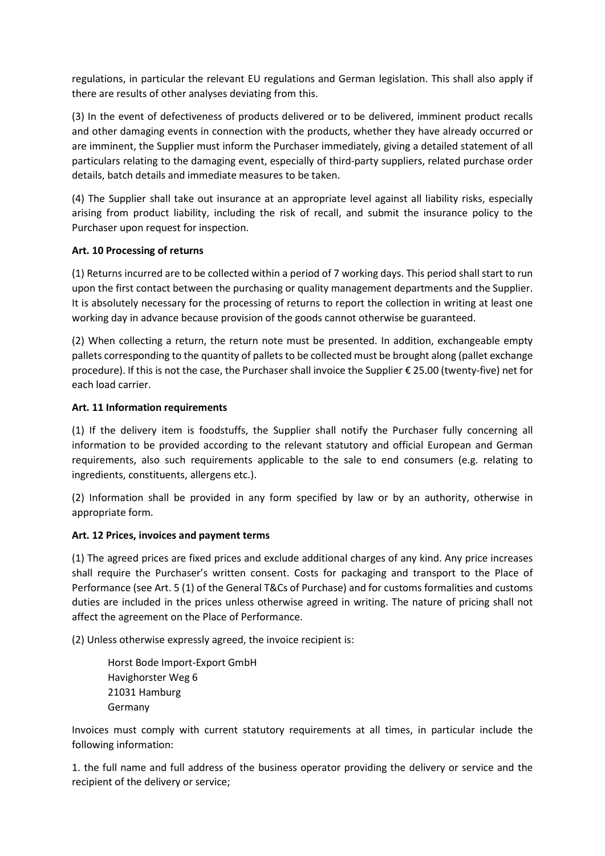regulations, in particular the relevant EU regulations and German legislation. This shall also apply if there are results of other analyses deviating from this.

(3) In the event of defectiveness of products delivered or to be delivered, imminent product recalls and other damaging events in connection with the products, whether they have already occurred or are imminent, the Supplier must inform the Purchaser immediately, giving a detailed statement of all particulars relating to the damaging event, especially of third-party suppliers, related purchase order details, batch details and immediate measures to be taken.

(4) The Supplier shall take out insurance at an appropriate level against all liability risks, especially arising from product liability, including the risk of recall, and submit the insurance policy to the Purchaser upon request for inspection.

## Art. 10 Processing of returns

(1) Returns incurred are to be collected within a period of 7 working days. This period shall start to run upon the first contact between the purchasing or quality management departments and the Supplier. It is absolutely necessary for the processing of returns to report the collection in writing at least one working day in advance because provision of the goods cannot otherwise be guaranteed.

(2) When collecting a return, the return note must be presented. In addition, exchangeable empty pallets corresponding to the quantity of pallets to be collected must be brought along (pallet exchange procedure). If this is not the case, the Purchaser shall invoice the Supplier € 25.00 (twenty-five) net for each load carrier.

### Art. 11 Information requirements

(1) If the delivery item is foodstuffs, the Supplier shall notify the Purchaser fully concerning all information to be provided according to the relevant statutory and official European and German requirements, also such requirements applicable to the sale to end consumers (e.g. relating to ingredients, constituents, allergens etc.).

(2) Information shall be provided in any form specified by law or by an authority, otherwise in appropriate form.

#### Art. 12 Prices, invoices and payment terms

(1) The agreed prices are fixed prices and exclude additional charges of any kind. Any price increases shall require the Purchaser's written consent. Costs for packaging and transport to the Place of Performance (see Art. 5 (1) of the General T&Cs of Purchase) and for customs formalities and customs duties are included in the prices unless otherwise agreed in writing. The nature of pricing shall not affect the agreement on the Place of Performance.

(2) Unless otherwise expressly agreed, the invoice recipient is:

Horst Bode Import-Export GmbH Havighorster Weg 6 21031 Hamburg Germany

Invoices must comply with current statutory requirements at all times, in particular include the following information:

1. the full name and full address of the business operator providing the delivery or service and the recipient of the delivery or service;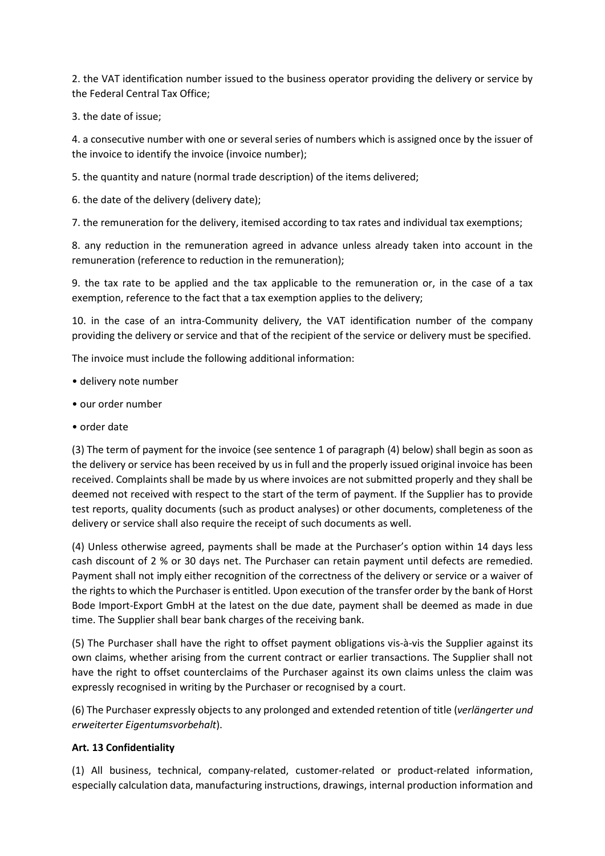2. the VAT identification number issued to the business operator providing the delivery or service by the Federal Central Tax Office;

3. the date of issue;

4. a consecutive number with one or several series of numbers which is assigned once by the issuer of the invoice to identify the invoice (invoice number);

5. the quantity and nature (normal trade description) of the items delivered;

6. the date of the delivery (delivery date);

7. the remuneration for the delivery, itemised according to tax rates and individual tax exemptions;

8. any reduction in the remuneration agreed in advance unless already taken into account in the remuneration (reference to reduction in the remuneration);

9. the tax rate to be applied and the tax applicable to the remuneration or, in the case of a tax exemption, reference to the fact that a tax exemption applies to the delivery;

10. in the case of an intra-Community delivery, the VAT identification number of the company providing the delivery or service and that of the recipient of the service or delivery must be specified.

The invoice must include the following additional information:

- delivery note number
- our order number
- order date

(3) The term of payment for the invoice (see sentence 1 of paragraph (4) below) shall begin as soon as the delivery or service has been received by us in full and the properly issued original invoice has been received. Complaints shall be made by us where invoices are not submitted properly and they shall be deemed not received with respect to the start of the term of payment. If the Supplier has to provide test reports, quality documents (such as product analyses) or other documents, completeness of the delivery or service shall also require the receipt of such documents as well.

(4) Unless otherwise agreed, payments shall be made at the Purchaser's option within 14 days less cash discount of 2 % or 30 days net. The Purchaser can retain payment until defects are remedied. Payment shall not imply either recognition of the correctness of the delivery or service or a waiver of the rights to which the Purchaser is entitled. Upon execution of the transfer order by the bank of Horst Bode Import-Export GmbH at the latest on the due date, payment shall be deemed as made in due time. The Supplier shall bear bank charges of the receiving bank.

(5) The Purchaser shall have the right to offset payment obligations vis-à-vis the Supplier against its own claims, whether arising from the current contract or earlier transactions. The Supplier shall not have the right to offset counterclaims of the Purchaser against its own claims unless the claim was expressly recognised in writing by the Purchaser or recognised by a court.

(6) The Purchaser expressly objects to any prolonged and extended retention of title (verlängerter und erweiterter Eigentumsvorbehalt).

#### Art. 13 Confidentiality

(1) All business, technical, company-related, customer-related or product-related information, especially calculation data, manufacturing instructions, drawings, internal production information and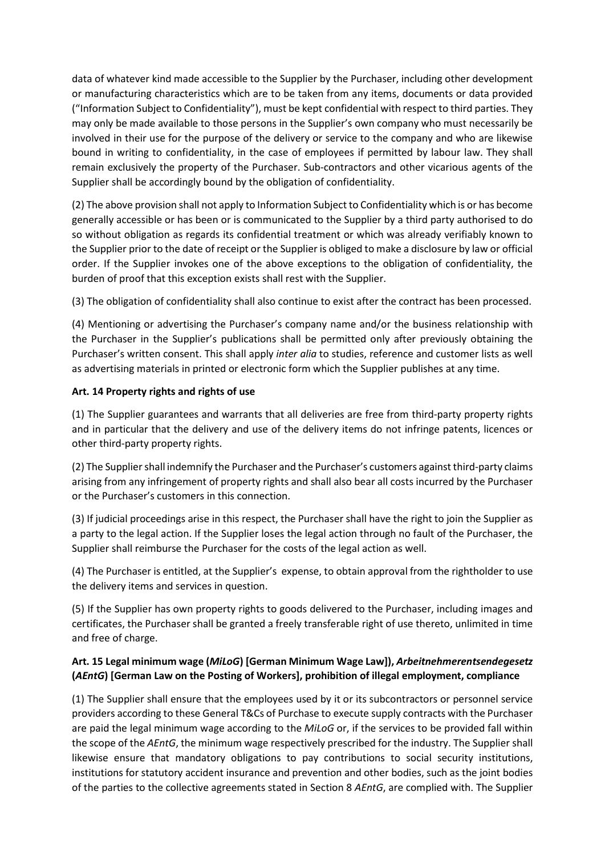data of whatever kind made accessible to the Supplier by the Purchaser, including other development or manufacturing characteristics which are to be taken from any items, documents or data provided ("Information Subject to Confidentiality"), must be kept confidential with respect to third parties. They may only be made available to those persons in the Supplier's own company who must necessarily be involved in their use for the purpose of the delivery or service to the company and who are likewise bound in writing to confidentiality, in the case of employees if permitted by labour law. They shall remain exclusively the property of the Purchaser. Sub-contractors and other vicarious agents of the Supplier shall be accordingly bound by the obligation of confidentiality.

(2) The above provision shall not apply to Information Subject to Confidentiality which is or has become generally accessible or has been or is communicated to the Supplier by a third party authorised to do so without obligation as regards its confidential treatment or which was already verifiably known to the Supplier prior to the date of receipt or the Supplier is obliged to make a disclosure by law or official order. If the Supplier invokes one of the above exceptions to the obligation of confidentiality, the burden of proof that this exception exists shall rest with the Supplier.

(3) The obligation of confidentiality shall also continue to exist after the contract has been processed.

(4) Mentioning or advertising the Purchaser's company name and/or the business relationship with the Purchaser in the Supplier's publications shall be permitted only after previously obtaining the Purchaser's written consent. This shall apply inter alia to studies, reference and customer lists as well as advertising materials in printed or electronic form which the Supplier publishes at any time.

## Art. 14 Property rights and rights of use

(1) The Supplier guarantees and warrants that all deliveries are free from third-party property rights and in particular that the delivery and use of the delivery items do not infringe patents, licences or other third-party property rights.

(2) The Supplier shall indemnify the Purchaser and the Purchaser's customers against third-party claims arising from any infringement of property rights and shall also bear all costs incurred by the Purchaser or the Purchaser's customers in this connection.

(3) If judicial proceedings arise in this respect, the Purchaser shall have the right to join the Supplier as a party to the legal action. If the Supplier loses the legal action through no fault of the Purchaser, the Supplier shall reimburse the Purchaser for the costs of the legal action as well.

(4) The Purchaser is entitled, at the Supplier's expense, to obtain approval from the rightholder to use the delivery items and services in question.

(5) If the Supplier has own property rights to goods delivered to the Purchaser, including images and certificates, the Purchaser shall be granted a freely transferable right of use thereto, unlimited in time and free of charge.

# Art. 15 Legal minimum wage (MiLoG) [German Minimum Wage Law]), Arbeitnehmerentsendegesetz (AEntG) [German Law on the Posting of Workers], prohibition of illegal employment, compliance

(1) The Supplier shall ensure that the employees used by it or its subcontractors or personnel service providers according to these General T&Cs of Purchase to execute supply contracts with the Purchaser are paid the legal minimum wage according to the MiLoG or, if the services to be provided fall within the scope of the AEntG, the minimum wage respectively prescribed for the industry. The Supplier shall likewise ensure that mandatory obligations to pay contributions to social security institutions, institutions for statutory accident insurance and prevention and other bodies, such as the joint bodies of the parties to the collective agreements stated in Section 8 AEntG, are complied with. The Supplier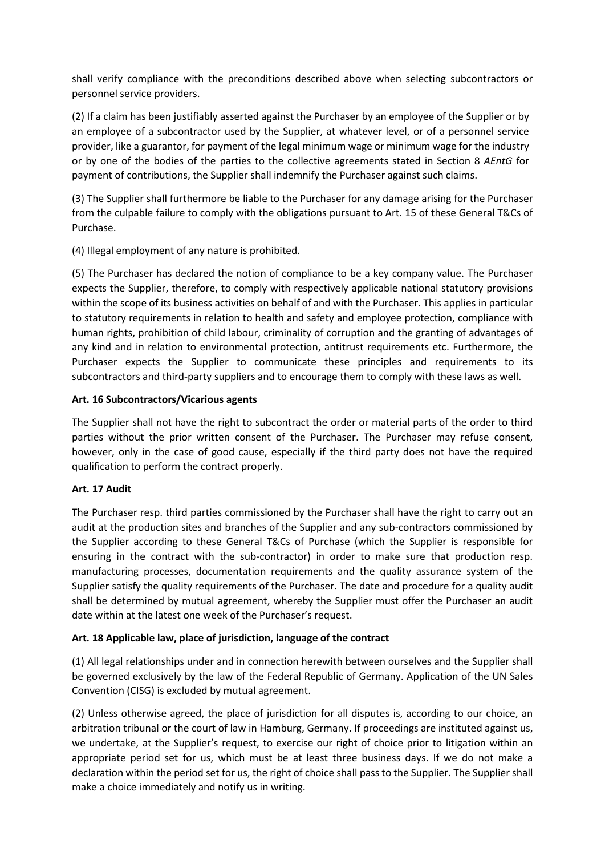shall verify compliance with the preconditions described above when selecting subcontractors or personnel service providers.

(2) If a claim has been justifiably asserted against the Purchaser by an employee of the Supplier or by an employee of a subcontractor used by the Supplier, at whatever level, or of a personnel service provider, like a guarantor, for payment of the legal minimum wage or minimum wage for the industry or by one of the bodies of the parties to the collective agreements stated in Section 8 AEntG for payment of contributions, the Supplier shall indemnify the Purchaser against such claims.

(3) The Supplier shall furthermore be liable to the Purchaser for any damage arising for the Purchaser from the culpable failure to comply with the obligations pursuant to Art. 15 of these General T&Cs of Purchase.

(4) Illegal employment of any nature is prohibited.

(5) The Purchaser has declared the notion of compliance to be a key company value. The Purchaser expects the Supplier, therefore, to comply with respectively applicable national statutory provisions within the scope of its business activities on behalf of and with the Purchaser. This applies in particular to statutory requirements in relation to health and safety and employee protection, compliance with human rights, prohibition of child labour, criminality of corruption and the granting of advantages of any kind and in relation to environmental protection, antitrust requirements etc. Furthermore, the Purchaser expects the Supplier to communicate these principles and requirements to its subcontractors and third-party suppliers and to encourage them to comply with these laws as well.

### Art. 16 Subcontractors/Vicarious agents

The Supplier shall not have the right to subcontract the order or material parts of the order to third parties without the prior written consent of the Purchaser. The Purchaser may refuse consent, however, only in the case of good cause, especially if the third party does not have the required qualification to perform the contract properly.

## Art. 17 Audit

The Purchaser resp. third parties commissioned by the Purchaser shall have the right to carry out an audit at the production sites and branches of the Supplier and any sub-contractors commissioned by the Supplier according to these General T&Cs of Purchase (which the Supplier is responsible for ensuring in the contract with the sub-contractor) in order to make sure that production resp. manufacturing processes, documentation requirements and the quality assurance system of the Supplier satisfy the quality requirements of the Purchaser. The date and procedure for a quality audit shall be determined by mutual agreement, whereby the Supplier must offer the Purchaser an audit date within at the latest one week of the Purchaser's request.

## Art. 18 Applicable law, place of jurisdiction, language of the contract

(1) All legal relationships under and in connection herewith between ourselves and the Supplier shall be governed exclusively by the law of the Federal Republic of Germany. Application of the UN Sales Convention (CISG) is excluded by mutual agreement.

(2) Unless otherwise agreed, the place of jurisdiction for all disputes is, according to our choice, an arbitration tribunal or the court of law in Hamburg, Germany. If proceedings are instituted against us, we undertake, at the Supplier's request, to exercise our right of choice prior to litigation within an appropriate period set for us, which must be at least three business days. If we do not make a declaration within the period set for us, the right of choice shall pass to the Supplier. The Supplier shall make a choice immediately and notify us in writing.